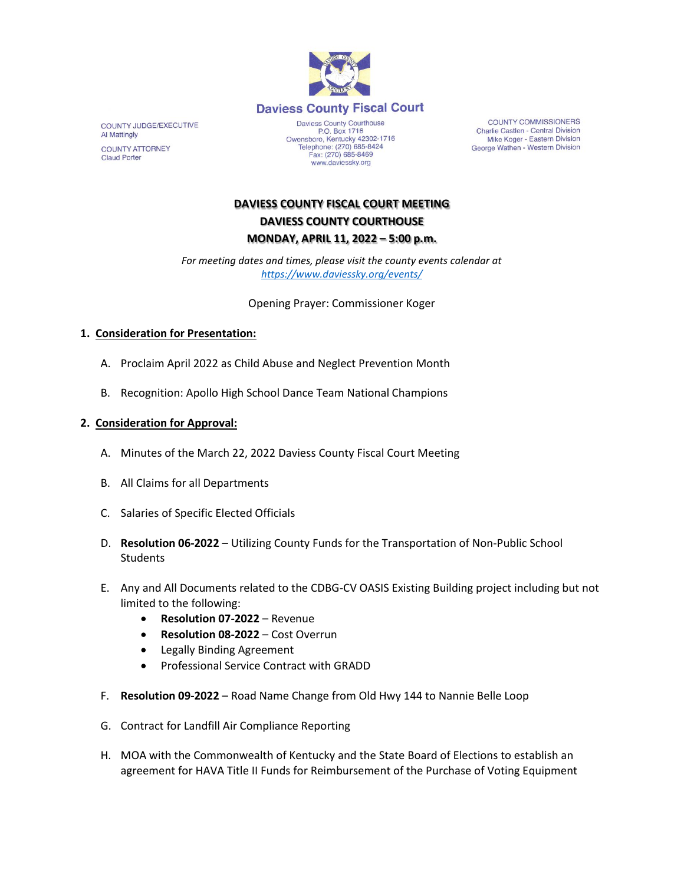

COUNTY JUDGE/EXECUTIVE Al Mattingly **COUNTY ATTORNEY Claud Porter** 

Daviess County Courthouse P.O. Box 1716<br>Depends 1716<br>Comparison Centucky 42302-1716<br>Telephone: (270) 685-8424 Fax: (270) 685-8469 www.daviessky.org

**COUNTY COMMISSIONERS** Charlie Castlen - Central Division<br>Mike Koger - Eastern Division George Wathen - Western Division

# **DAVIESS COUNTY FISCAL COURT MEETING DAVIESS COUNTY COURTHOUSE MONDAY, APRIL 11, 2022 – 5:00 p.m.**

*For meeting dates and times, please visit the county events calendar at <https://www.daviessky.org/events/>*

Opening Prayer: Commissioner Koger

### **1. Consideration for Presentation:**

- A. Proclaim April 2022 as Child Abuse and Neglect Prevention Month
- B. Recognition: Apollo High School Dance Team National Champions

## **2. Consideration for Approval:**

- A. Minutes of the March 22, 2022 Daviess County Fiscal Court Meeting
- B. All Claims for all Departments
- C. Salaries of Specific Elected Officials
- D. **Resolution 06-2022** Utilizing County Funds for the Transportation of Non-Public School **Students**
- E. Any and All Documents related to the CDBG-CV OASIS Existing Building project including but not limited to the following:
	- **Resolution 07-2022** Revenue
	- **Resolution 08-2022**  Cost Overrun
	- Legally Binding Agreement
	- Professional Service Contract with GRADD
- F. **Resolution 09-2022** Road Name Change from Old Hwy 144 to Nannie Belle Loop
- G. Contract for Landfill Air Compliance Reporting
- H. MOA with the Commonwealth of Kentucky and the State Board of Elections to establish an agreement for HAVA Title II Funds for Reimbursement of the Purchase of Voting Equipment